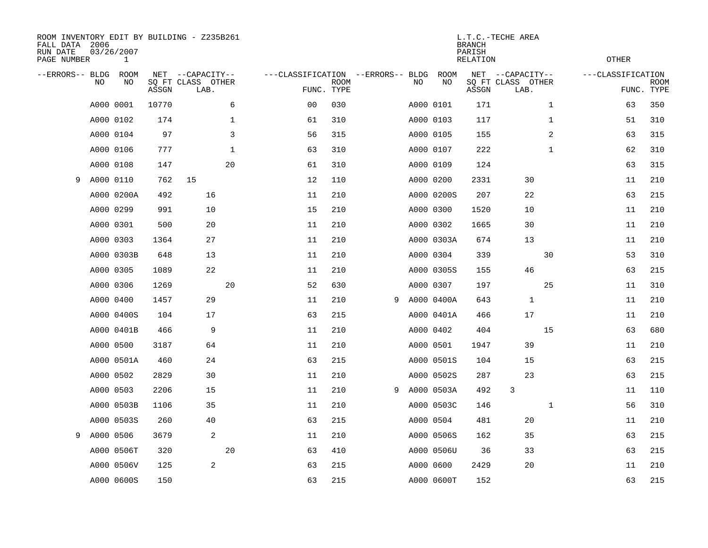| ROOM INVENTORY EDIT BY BUILDING - Z235B261<br>FALL DATA 2006<br>RUN DATE<br>PAGE NUMBER |           | 03/26/2007<br>$\mathbf{1}$ |       |                                               |             |                                                 |             |   |    |            | <b>BRANCH</b><br>PARISH<br>RELATION | L.T.C.-TECHE AREA                             |              | <b>OTHER</b>      |                           |
|-----------------------------------------------------------------------------------------|-----------|----------------------------|-------|-----------------------------------------------|-------------|-------------------------------------------------|-------------|---|----|------------|-------------------------------------|-----------------------------------------------|--------------|-------------------|---------------------------|
| --ERRORS-- BLDG                                                                         | NO        | ROOM<br>NO                 | ASSGN | NET --CAPACITY--<br>SQ FT CLASS OTHER<br>LAB. |             | ---CLASSIFICATION --ERRORS-- BLDG<br>FUNC. TYPE | <b>ROOM</b> |   | NO | ROOM<br>NO | ASSGN                               | NET --CAPACITY--<br>SQ FT CLASS OTHER<br>LAB. |              | ---CLASSIFICATION | <b>ROOM</b><br>FUNC. TYPE |
|                                                                                         |           | A000 0001                  | 10770 |                                               | 6           | 00                                              | 030         |   |    | A000 0101  | 171                                 |                                               | $\mathbf{1}$ | 63                | 350                       |
|                                                                                         |           | A000 0102                  | 174   |                                               | 1           | 61                                              | 310         |   |    | A000 0103  | 117                                 |                                               | 1            | 51                | 310                       |
|                                                                                         |           | A000 0104                  | 97    |                                               | 3           | 56                                              | 315         |   |    | A000 0105  | 155                                 |                                               | 2            | 63                | 315                       |
|                                                                                         |           | A000 0106                  | 777   |                                               | $\mathbf 1$ | 63                                              | 310         |   |    | A000 0107  | 222                                 |                                               | $\mathbf{1}$ | 62                | 310                       |
|                                                                                         |           | A000 0108                  | 147   |                                               | 20          | 61                                              | 310         |   |    | A000 0109  | 124                                 |                                               |              | 63                | 315                       |
| 9                                                                                       |           | A000 0110                  | 762   | 15                                            |             | 12                                              | 110         |   |    | A000 0200  | 2331                                | 30                                            |              | 11                | 210                       |
|                                                                                         |           | A000 0200A                 | 492   | 16                                            |             | 11                                              | 210         |   |    | A000 0200S | 207                                 | 22                                            |              | 63                | 215                       |
|                                                                                         |           | A000 0299                  | 991   | 10                                            |             | 15                                              | 210         |   |    | A000 0300  | 1520                                | 10                                            |              | 11                | 210                       |
|                                                                                         |           | A000 0301                  | 500   | 20                                            |             | 11                                              | 210         |   |    | A000 0302  | 1665                                | 30                                            |              | 11                | 210                       |
|                                                                                         |           | A000 0303                  | 1364  | 27                                            |             | 11                                              | 210         |   |    | A000 0303A | 674                                 | 13                                            |              | 11                | 210                       |
|                                                                                         |           | A000 0303B                 | 648   | 13                                            |             | 11                                              | 210         |   |    | A000 0304  | 339                                 |                                               | 30           | 53                | 310                       |
|                                                                                         |           | A000 0305                  | 1089  | 22                                            |             | 11                                              | 210         |   |    | A000 0305S | 155                                 | 46                                            |              | 63                | 215                       |
|                                                                                         |           | A000 0306                  | 1269  |                                               | 20          | 52                                              | 630         |   |    | A000 0307  | 197                                 |                                               | 25           | 11                | 310                       |
|                                                                                         |           | A000 0400                  | 1457  | 29                                            |             | 11                                              | 210         | 9 |    | A000 0400A | 643                                 | 1                                             |              | 11                | 210                       |
|                                                                                         |           | A000 0400S                 | 104   | 17                                            |             | 63                                              | 215         |   |    | A000 0401A | 466                                 | 17                                            |              | 11                | 210                       |
|                                                                                         |           | A000 0401B                 | 466   | 9                                             |             | 11                                              | 210         |   |    | A000 0402  | 404                                 |                                               | 15           | 63                | 680                       |
|                                                                                         |           | A000 0500                  | 3187  | 64                                            |             | 11                                              | 210         |   |    | A000 0501  | 1947                                | 39                                            |              | 11                | 210                       |
|                                                                                         |           | A000 0501A                 | 460   | 24                                            |             | 63                                              | 215         |   |    | A000 0501S | 104                                 | 15                                            |              | 63                | 215                       |
|                                                                                         |           | A000 0502                  | 2829  | 30                                            |             | 11                                              | 210         |   |    | A000 0502S | 287                                 | 23                                            |              | 63                | 215                       |
|                                                                                         |           | A000 0503                  | 2206  | 15                                            |             | 11                                              | 210         | 9 |    | A000 0503A | 492                                 | 3                                             |              | 11                | 110                       |
|                                                                                         |           | A000 0503B                 | 1106  | 35                                            |             | 11                                              | 210         |   |    | A000 0503C | 146                                 |                                               | $\mathbf{1}$ | 56                | 310                       |
|                                                                                         |           | A000 0503S                 | 260   | 40                                            |             | 63                                              | 215         |   |    | A000 0504  | 481                                 | 20                                            |              | 11                | 210                       |
| 9                                                                                       | A000 0506 |                            | 3679  | 2                                             |             | 11                                              | 210         |   |    | A000 0506S | 162                                 | 35                                            |              | 63                | 215                       |
|                                                                                         |           | A000 0506T                 | 320   |                                               | 20          | 63                                              | 410         |   |    | A000 0506U | 36                                  | 33                                            |              | 63                | 215                       |
|                                                                                         |           | A000 0506V                 | 125   | 2                                             |             | 63                                              | 215         |   |    | A000 0600  | 2429                                | 20                                            |              | 11                | 210                       |
|                                                                                         |           | A000 0600S                 | 150   |                                               |             | 63                                              | 215         |   |    | A000 0600T | 152                                 |                                               |              | 63                | 215                       |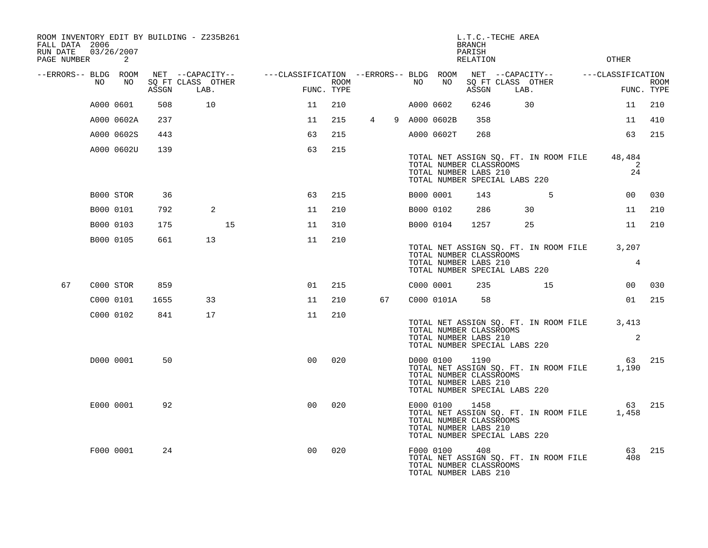| FALL DATA 2006<br>RUN DATE |           | 03/26/2007 |       | ROOM INVENTORY EDIT BY BUILDING - Z235B261    |                                        |                    |                |           |                                                               | <b>BRANCH</b><br>PARISH | L.T.C.-TECHE AREA                                                      |                   |                           |
|----------------------------|-----------|------------|-------|-----------------------------------------------|----------------------------------------|--------------------|----------------|-----------|---------------------------------------------------------------|-------------------------|------------------------------------------------------------------------|-------------------|---------------------------|
| PAGE NUMBER                |           | 2          |       |                                               |                                        |                    |                |           |                                                               | RELATION                |                                                                        | <b>OTHER</b>      |                           |
| --ERRORS-- BLDG ROOM       | NO        | NO         | ASSGN | NET --CAPACITY--<br>SQ FT CLASS OTHER<br>LAB. | ---CLASSIFICATION --ERRORS-- BLDG ROOM | ROOM<br>FUNC. TYPE |                | NO        | NO                                                            | ASSGN                   | NET --CAPACITY--<br>SQ FT CLASS OTHER<br>LAB.                          | ---CLASSIFICATION | <b>ROOM</b><br>FUNC. TYPE |
|                            |           | A000 0601  | 508   | 10                                            | 11                                     | 210                |                | A000 0602 |                                                               | 6246                    | 30                                                                     | 11                | 210                       |
|                            |           | A000 0602A | 237   |                                               | 11                                     | 215                | $\overline{4}$ |           | 9 A000 0602B                                                  | 358                     |                                                                        | 11                | 410                       |
|                            |           | A000 0602S | 443   |                                               | 63                                     | 215                |                |           | A000 0602T                                                    | 268                     |                                                                        | 63                | 215                       |
|                            |           | A000 0602U | 139   |                                               | 63                                     | 215                |                |           |                                                               |                         |                                                                        |                   |                           |
|                            |           |            |       |                                               |                                        |                    |                |           | TOTAL NUMBER CLASSROOMS<br>TOTAL NUMBER LABS 210              |                         | TOTAL NET ASSIGN SQ. FT. IN ROOM FILE<br>TOTAL NUMBER SPECIAL LABS 220 | 48,484<br>24      | 2                         |
|                            |           | B000 STOR  | 36    |                                               | 63                                     | 215                |                | B000 0001 |                                                               | 143                     | 5                                                                      | 0 <sub>0</sub>    | 030                       |
|                            | B000 0101 |            | 792   | 2                                             | 11                                     | 210                |                | B000 0102 |                                                               | 286                     | 30                                                                     | 11                | 210                       |
|                            | B000 0103 |            | 175   |                                               | 15<br>11                               | 310                |                | B000 0104 |                                                               | 1257                    | 25                                                                     | 11                | 210                       |
|                            | B000 0105 |            | 661   | 13                                            | 11                                     | 210                |                |           | TOTAL NUMBER CLASSROOMS<br>TOTAL NUMBER LABS 210              |                         | TOTAL NET ASSIGN SQ. FT. IN ROOM FILE<br>TOTAL NUMBER SPECIAL LABS 220 | 3,207             | $\overline{4}$            |
| 67                         |           | C000 STOR  | 859   |                                               | 01                                     | 215                |                | C000 0001 |                                                               | 235                     | 15                                                                     | 00 <sub>o</sub>   | 030                       |
|                            |           | C000 0101  | 1655  | 33                                            | 11                                     | 210                | 67             |           | C000 0101A                                                    | 58                      |                                                                        | 01                | 215                       |
|                            |           | C000 0102  | 841   | 17                                            | 11                                     | 210                |                |           | TOTAL NUMBER CLASSROOMS<br>TOTAL NUMBER LABS 210              |                         | TOTAL NET ASSIGN SQ. FT. IN ROOM FILE<br>TOTAL NUMBER SPECIAL LABS 220 | 3,413             | 2                         |
|                            |           | D000 0001  | 50    |                                               | 0 <sub>0</sub>                         | 020                |                |           | D000 0100<br>TOTAL NUMBER CLASSROOMS<br>TOTAL NUMBER LABS 210 | 1190                    | TOTAL NET ASSIGN SQ. FT. IN ROOM FILE<br>TOTAL NUMBER SPECIAL LABS 220 | 63<br>1,190       | 215                       |
|                            |           | E000 0001  | 92    |                                               | 0 <sub>0</sub>                         | 020                |                | E000 0100 | TOTAL NUMBER CLASSROOMS<br>TOTAL NUMBER LABS 210              | 1458                    | TOTAL NET ASSIGN SQ. FT. IN ROOM FILE<br>TOTAL NUMBER SPECIAL LABS 220 | 63<br>1,458       | 215                       |
|                            |           | F000 0001  | 24    |                                               | 0 <sub>0</sub>                         | 020                |                | F000 0100 | TOTAL NUMBER CLASSROOMS<br>TOTAL NUMBER LABS 210              | 408                     | TOTAL NET ASSIGN SQ. FT. IN ROOM FILE                                  | 63<br>408         | 215                       |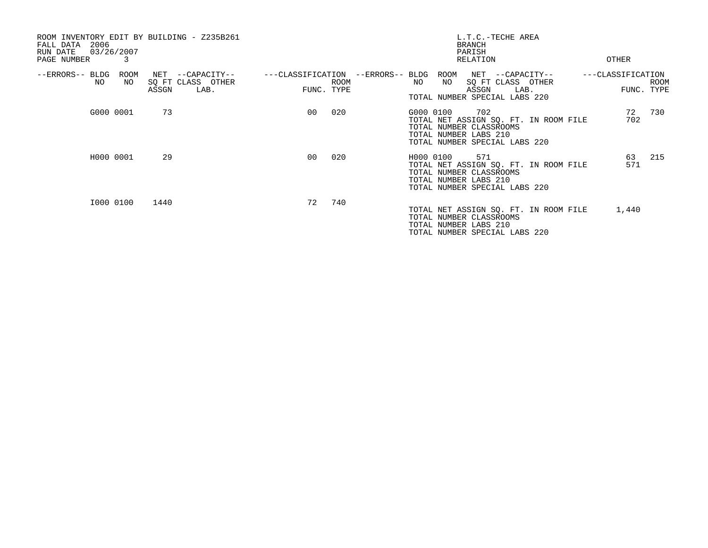| ROOM INVENTORY EDIT BY BUILDING - Z235B261<br>2006<br>FALL DATA<br>03/26/2007<br>RUN DATE<br>3<br>PAGE NUMBER |                                                           |                                 |                                | <b>BRANCH</b><br>PARISH<br>RELATION                                                                   | L.T.C.-TECHE AREA                             | OTHER             |                           |
|---------------------------------------------------------------------------------------------------------------|-----------------------------------------------------------|---------------------------------|--------------------------------|-------------------------------------------------------------------------------------------------------|-----------------------------------------------|-------------------|---------------------------|
| --ERRORS-- BLDG<br>ROOM<br>NO.<br>NO                                                                          | NET<br>--CAPACITY--<br>SQ FT CLASS OTHER<br>ASSGN<br>LAB. | ---CLASSIFICATION<br>FUNC. TYPE | --ERRORS-- BLDG<br><b>ROOM</b> | ROOM<br>NO<br>NO<br>ASSGN<br>TOTAL NUMBER SPECIAL LABS 220                                            | NET --CAPACITY--<br>SQ FT CLASS OTHER<br>LAB. | ---CLASSIFICATION | <b>ROOM</b><br>FUNC. TYPE |
| G000 0001                                                                                                     | 73                                                        | 0 <sup>0</sup>                  | 020                            | G000 0100<br>702<br>TOTAL NUMBER CLASSROOMS<br>TOTAL NUMBER LABS 210<br>TOTAL NUMBER SPECIAL LABS 220 | TOTAL NET ASSIGN SQ. FT. IN ROOM FILE         | 72<br>702         | 730                       |
| H000 0001                                                                                                     | 29                                                        | 0 <sub>0</sub>                  | 020                            | H000 0100<br>TOTAL NUMBER CLASSROOMS<br>TOTAL NUMBER LABS 210<br>TOTAL NUMBER SPECIAL LABS 220        | 571<br>TOTAL NET ASSIGN SQ. FT. IN ROOM FILE  | 63<br>571         | 215                       |
| I000 0100                                                                                                     | 1440                                                      | 72                              | 740                            | TOTAL NUMBER CLASSROOMS<br>TOTAL NUMBER LABS 210<br>TOTAL NUMBER SPECIAL LABS 220                     | TOTAL NET ASSIGN SQ. FT. IN ROOM FILE         | 1,440             |                           |